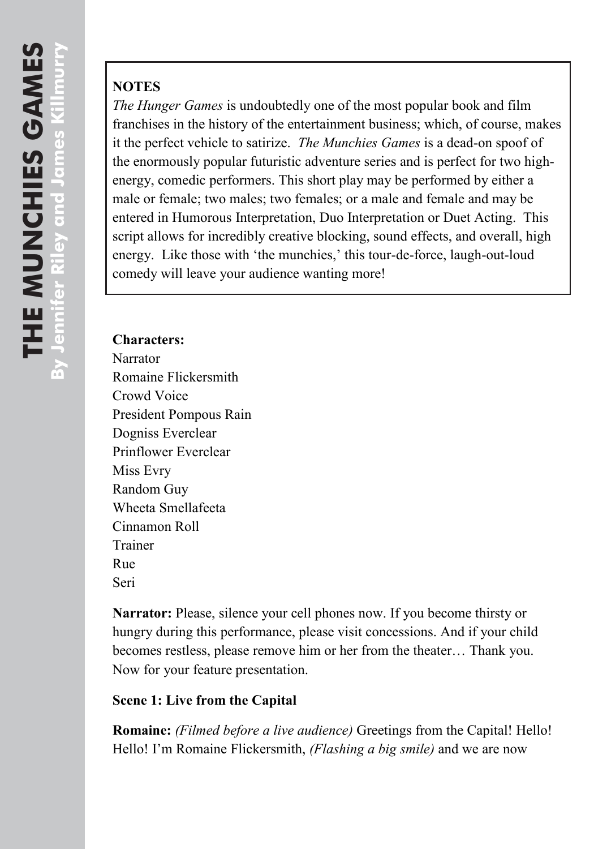# **NOTES**

*The Hunger Games* is undoubtedly one of the most popular book and film franchises in the history of the entertainment business; which, of course, makes it the perfect vehicle to satirize. The Munchies Games is a dead-on spoof of the enormously popular futuristic adventure series and is perfect for two high ener gy, comedic performers. This short play may be performed by either a male or female; two males; two females; or a male and female and may be entered in Humorous Interpretation, Duo Interpretation or Duet Acting. This script allows for incredibly creative blocking, sound effects, and overall, high energy. Like those with 'the munchies,' this tour-de-force, laugh-out-loud comedy will leave your audience wanting more!

#### **Characters:**

Narrator Romaine Flickersmith Crowd Voice President Pompous Rain Dogniss Everclear Prinflower Everclear Miss Evry Random Guy Wheeta Smellafeeta Cinnamon Roll Trainer Rue Seri

Narrator: Please, silence your cell phones now. If you become thirsty or hungry during this performance, please visit concessions. And if your child becomes restless, please remove him or her from the theater… Thank you. Now for your feature presentation.

### **Scene 1: Live from the Capital**

**Romaine:** *(Filmed before a live audience)* Greetings from the Capital! Hello! Hello! I"m Romaine Flickersmith, *(Flashing a big smile)* and we are now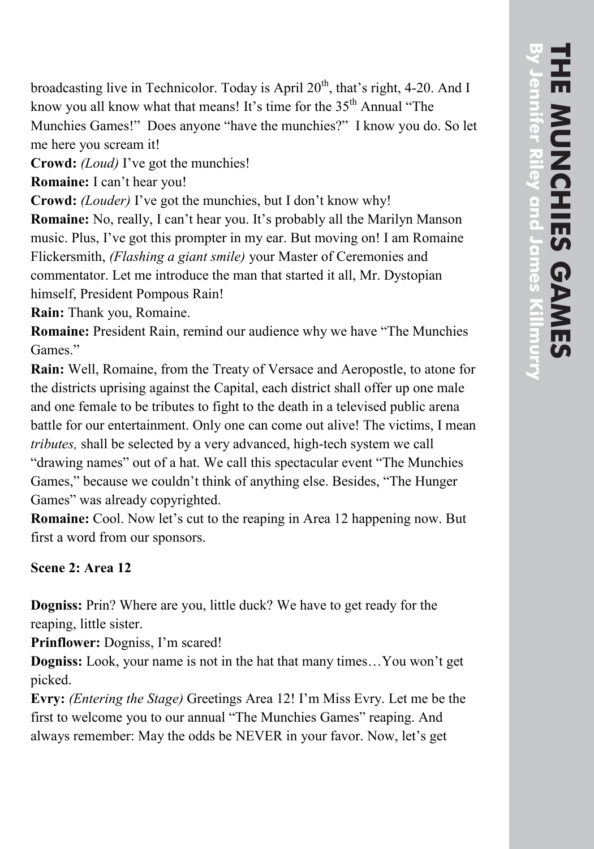broadcasting live in Technicolor. Today is April 20<sup>th</sup>, that's right, 4-20. And I know you all know what that means! It's time for the 35<sup>th</sup> Annual "The Munchies Games! " Does anyone "have the munchies? " I know you do. So let me here you scream it!

**Crowd:** *(Loud)* I"ve got the munchies!

Romaine: I can't hear you!

**Crowd:** *(Louder)* I've got the munchies, but I don't know why!

**Romaine:** No, really, I can't hear you. It's probably all the Marilyn Manson music. Plus, I've got this prompter in my ear. But moving on! I am Romaine Flickersmith, *(Flashing a giant smile)* your Master of Ceremonies and commentator. Let me introduce the man that started it all, Mr. Dystopian himself, President Pompous Rain!

**Rain:** Thank you, Romaine.

**Romaine:** President Rain, remind our audience why we have "The Munchies Games. "

**Rain:** Well, Romaine, from the Treaty of Versace and Aeropostle, to atone for the districts uprising against the Capital, each district shall offer up one mal e and one female to be tributes to fight to the death in a televised public arena battle for our entertainment. Only one can come out alive! The victims, I mean tributes, shall be selected by a very advanced, high-tech system we call "drawing names" out of a hat. We call this spectacular event "The Munchies Games," because we couldn"t think of anything else. Besides, "The Hunger Games" was already copyrighted.

**Romaine:** Cool. Now let's cut to the reaping in Area 12 happening now. But first a word from our sponsors.

## **Scene 2: Area 12**

**Dogniss:** Prin? Where are you , little duck? We have to get ready for the reaping, little sister.

**Prinflower:** Dogniss, I'm scared!

**Dogniss:** Look, your name is not in the hat that many times... You won't get picked.

**Evry:** *(Entering the Stage)* Greetings Area 12! I"m Miss Evry . Let me b e the first to welcome you to our annual "The Munchies Games" reaping. And always remember: May the odds be NEVER in your favor. Now, let's get